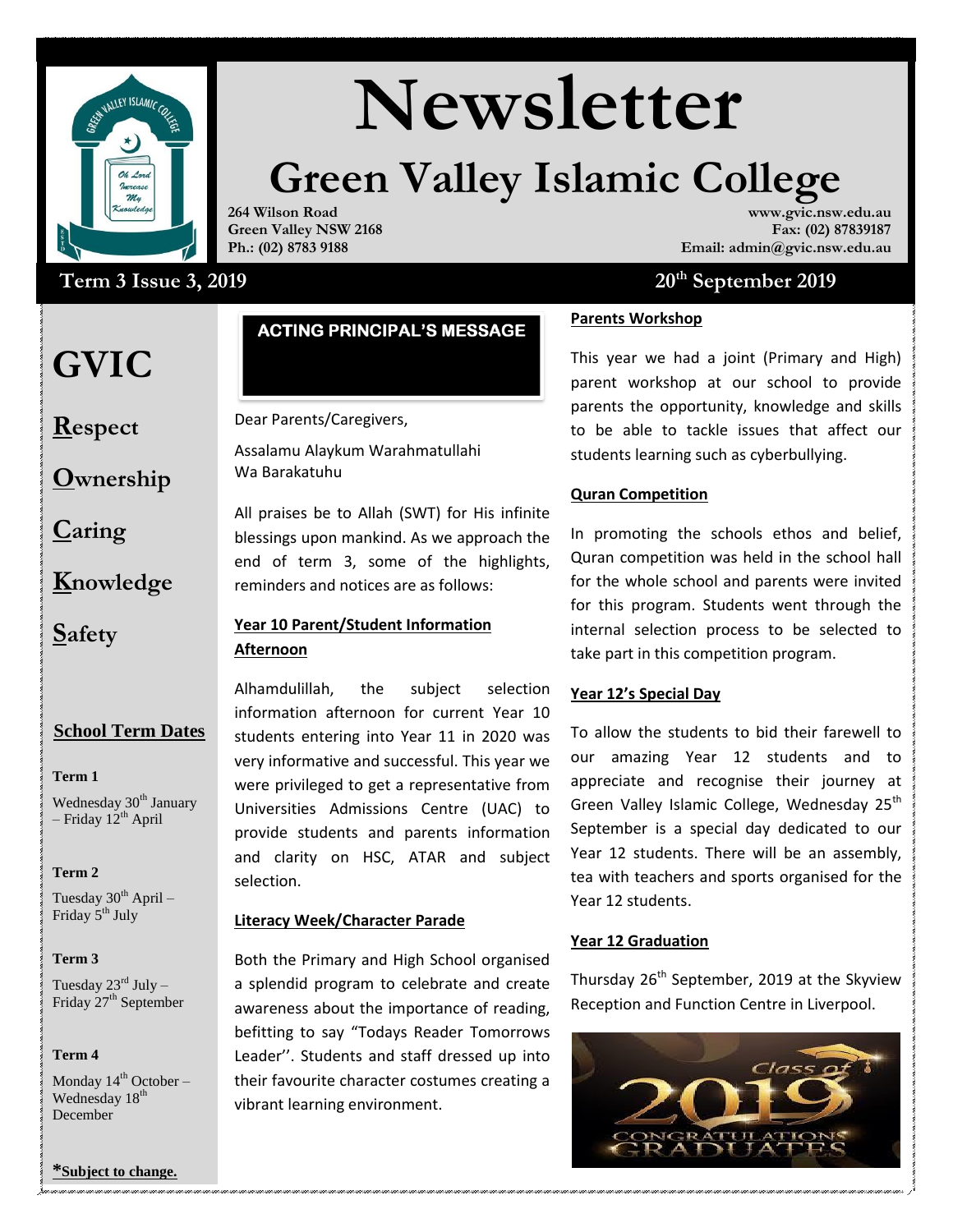

# **Newsletter**

## **Green Valley Islamic College**

**264 Wilson Road Green Valley NSW 2168 Ph.: (02) 8783 9188**

### **Term 3** Issue 3, 2019 20<sup>th</sup> September 2019

### **GVIC**

**Respect**

**Ownership**

**Caring**

**Knowledge**

**Safety**

#### **School Term Dates**

**Term 1** 

Wednesday 30<sup>th</sup> January – Friday  $12^{th}$  April

**Term 2** 

Tuesday  $30^{th}$  April – Friday 5<sup>th</sup> July

#### **Term 3**

Tuesday  $23^{\text{rd}}$  July – Friday 27<sup>th</sup> September

#### **Term 4**

Monday  $14^{th}$  October – Wednesday  $18<sup>th</sup>$ December

#### **\*Subject to change.**

#### **ACTING PRINCIPAL'S MESSAGE**

#### Dear Parents/Caregivers,

Assalamu Alaykum Warahmatullahi Wa Barakatuhu

All praises be to Allah (SWT) for His infinite blessings upon mankind. As we approach the end of term 3, some of the highlights, reminders and notices are as follows:

#### **Year 10 Parent/Student Information Afternoon**

Alhamdulillah, the subject selection information afternoon for current Year 10 students entering into Year 11 in 2020 was very informative and successful. This year we were privileged to get a representative from Universities Admissions Centre (UAC) to provide students and parents information and clarity on HSC, ATAR and subject selection.

#### **Literacy Week/Character Parade**

a splendid program to celebrate and create **Inurs** Both the Primary and High School organised awareness about the importance of reading, befitting to say "Todays Reader Tomorrows Leader''. Students and staff dressed up into their favourite character costumes creating a vibrant learning environment.

**www.gvic.nsw.edu.au Fax: (02) 87839187**

**Email: admin@gvic.nsw.edu.au**

#### **Parents Workshop**

This year we had a joint (Primary and High) parent workshop at our school to provide parents the opportunity, knowledge and skills to be able to tackle issues that affect our students learning such as cyberbullying.

#### **Quran Competition**

In promoting the schools ethos and belief, Quran competition was held in the school hall for the whole school and parents were invited for this program. Students went through the internal selection process to be selected to take part in this competition program.

#### **Year 12's Special Day**

To allow the students to bid their farewell to our amazing Year 12 students and to appreciate and recognise their journey at Green Valley Islamic College, Wednesday 25<sup>th</sup> September is a special day dedicated to our Year 12 students. There will be an assembly, tea with teachers and sports organised for the Year 12 students.

#### **Year 12 Graduation**

Thursday  $26<sup>th</sup>$  September, 2019 at the Skyview Reception and Function Centre in Liverpool.

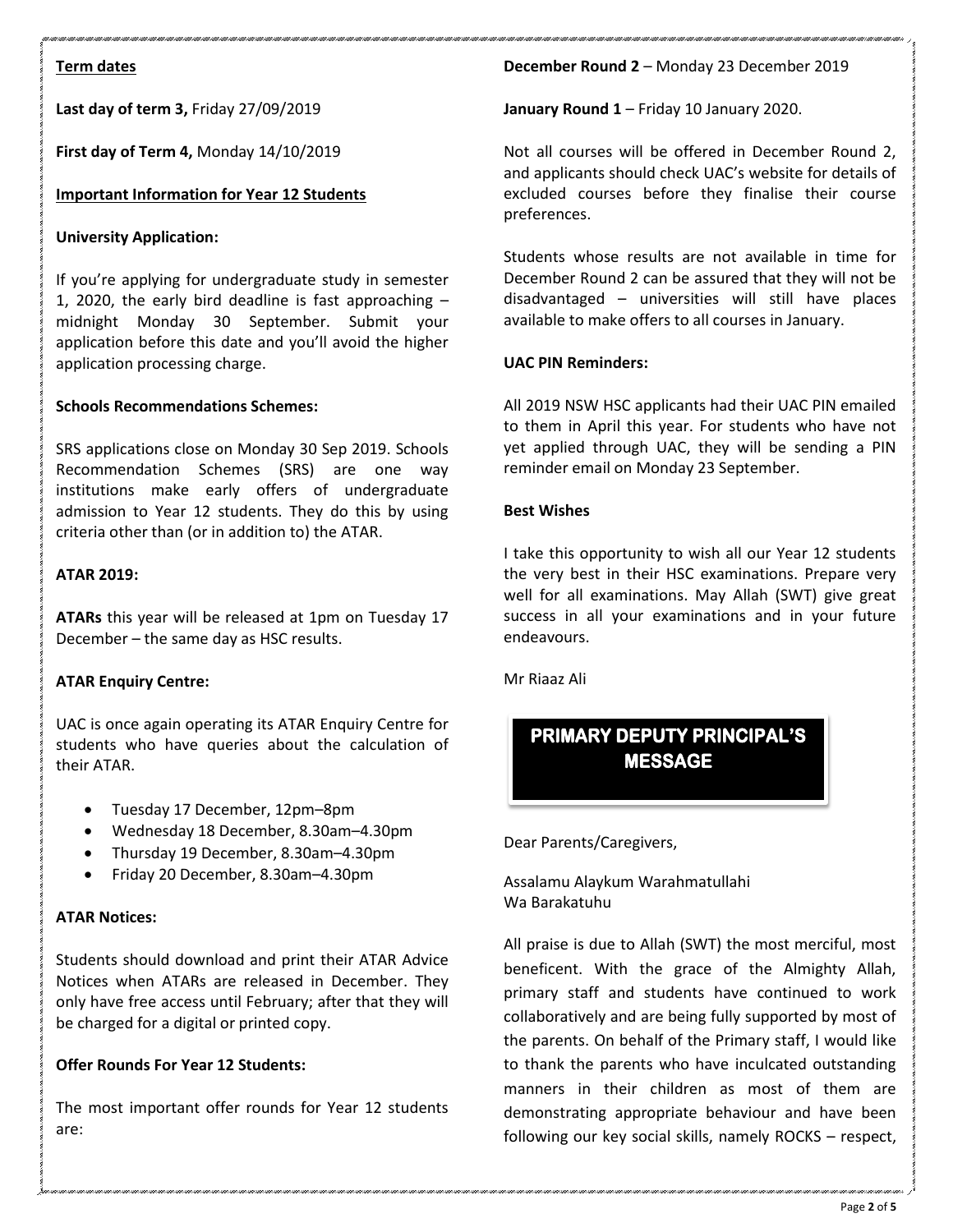#### **Term dates**

**Last day of term 3,** Friday 27/09/2019

**First day of Term 4,** Monday 14/10/2019

#### **Important Information for Year 12 Students**

#### **University Application:**

If you're applying for undergraduate study in semester 1, 2020, the early bird deadline is fast approaching – midnight Monday 30 September. Submit your application before this date and you'll avoid the higher application processing charge.

#### **Schools Recommendations Schemes:**

SRS applications close on Monday 30 Sep 2019. Schools Recommendation Schemes (SRS) are one way institutions make early offers of undergraduate admission to Year 12 students. They do this by using criteria other than (or in addition to) the ATAR.

#### **ATAR 2019:**

**ATARs** this year will be released at 1pm on Tuesday 17 December – the same day as HSC results.

#### **ATAR Enquiry Centre:**

UAC is once again operating its ATAR Enquiry Centre for students who have queries about the calculation of their ATAR.

- Tuesday 17 December, 12pm–8pm
- Wednesday 18 December, 8.30am–4.30pm
- Thursday 19 December, 8.30am–4.30pm
- Friday 20 December, 8.30am–4.30pm

#### **ATAR Notices:**

Students should download and print their ATAR Advice Notices when ATARs are released in December. They only have free access until February; after that they will be charged for a digital or printed copy.

#### **Offer Rounds For Year 12 Students:**

The most important offer rounds for Year 12 students are:

#### **December Round 2** – Monday 23 December 2019

**January Round 1** – Friday 10 January 2020.

Not all courses will be offered in December Round 2, and applicants should check UAC's website for details of excluded courses before they finalise their course preferences.

Students whose results are not available in time for December Round 2 can be assured that they will not be disadvantaged – universities will still have places available to make offers to all courses in January.

#### **UAC PIN Reminders:**

All 2019 NSW HSC applicants had their UAC PIN emailed to them in April this year. For students who have not yet applied through UAC, they will be sending a PIN reminder email on Monday 23 September.

#### **Best Wishes**

I take this opportunity to wish all our Year 12 students the very best in their HSC examinations. Prepare very well for all examinations. May Allah (SWT) give great success in all your examinations and in your future endeavours.

Mr Riaaz Ali

### **MESSAGE**

Dear Parents/Caregivers,

Assalamu Alaykum Warahmatullahi Wa Barakatuhu

All praise is due to Allah (SWT) the most merciful, most beneficent. With the grace of the Almighty Allah, primary staff and students have continued to work collaboratively and are being fully supported by most of the parents. On behalf of the Primary staff, I would like to thank the parents who have inculcated outstanding manners in their children as most of them are demonstrating appropriate behaviour and have been **EXERCT CONTRIMIST CONTRIMIST CONTRIMIST CONTRIMIST CONTRIMIST OPER THE SKILL DAM** Damakatuhu<br>
All praise is due to Allah (SWT) the most merciful, most<br>
beneficent. With the grace of the Almighty Allah,<br>
primary staff and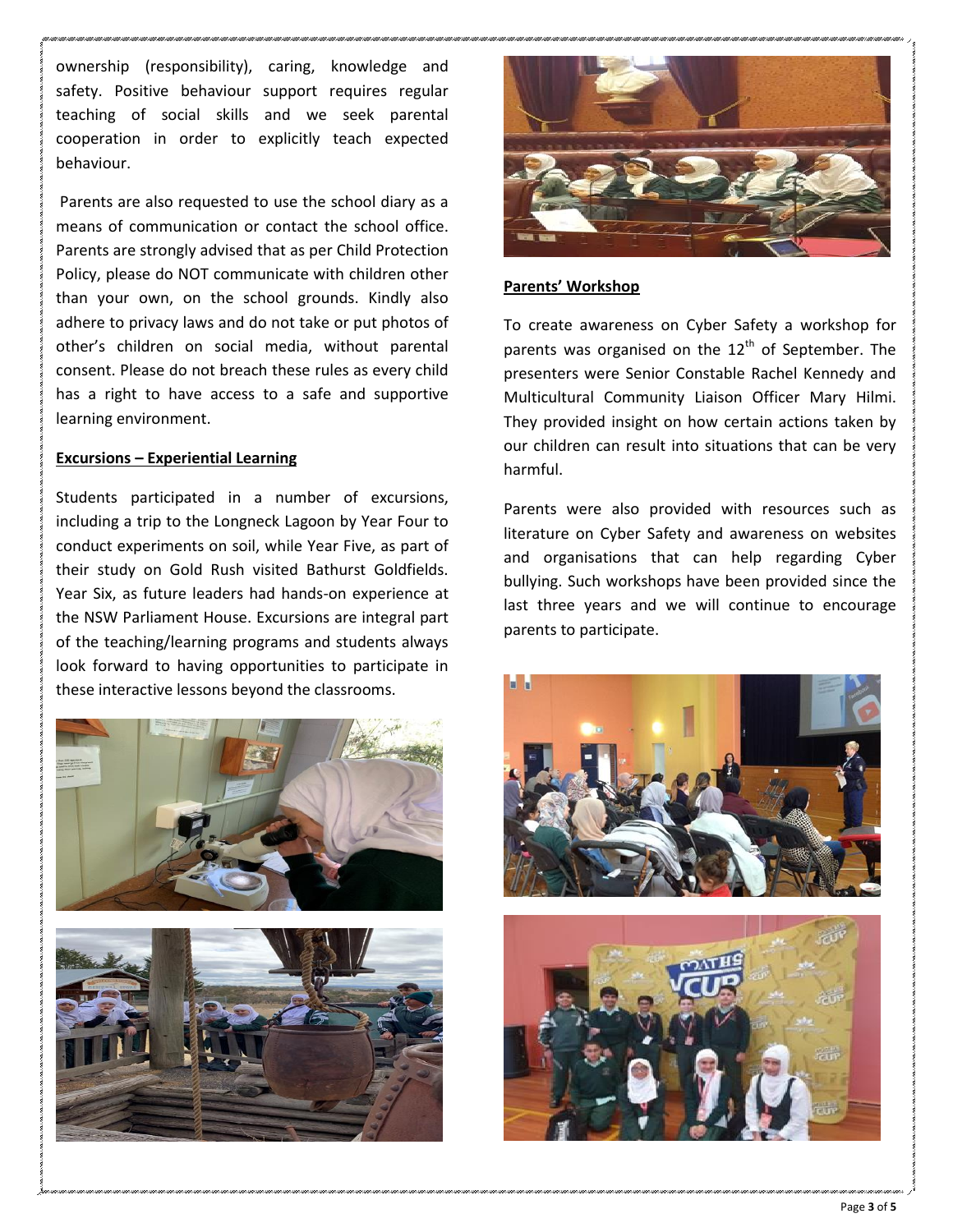ownership (responsibility), caring, knowledge and safety. Positive behaviour support requires regular teaching of social skills and we seek parental cooperation in order to explicitly teach expected behaviour.

Parents are also requested to use the school diary as a means of communication or contact the school office. Parents are strongly advised that as per Child Protection Policy, please do NOT communicate with children other than your own, on the school grounds. Kindly also adhere to privacy laws and do not take or put photos of other's children on social media, without parental consent. Please do not breach these rules as every child has a right to have access to a safe and supportive learning environment.

#### **Excursions – Experiential Learning**

Students participated in a number of excursions, including a trip to the Longneck Lagoon by Year Four to conduct experiments on soil, while Year Five, as part of their study on Gold Rush visited Bathurst Goldfields. Year Six, as future leaders had hands-on experience at the NSW Parliament House. Excursions are integral part of the teaching/learning programs and students always look forward to having opportunities to participate in these interactive lessons beyond the classrooms.





#### **Parents' Workshop**

To create awareness on Cyber Safety a workshop for parents was organised on the  $12<sup>th</sup>$  of September. The presenters were Senior Constable Rachel Kennedy and Multicultural Community Liaison Officer Mary Hilmi. They provided insight on how certain actions taken by our children can result into situations that can be very harmful.

Parents were also provided with resources such as literature on Cyber Safety and awareness on websites and organisations that can help regarding Cyber bullying. Such workshops have been provided since the last three years and we will continue to encourage parents to participate.

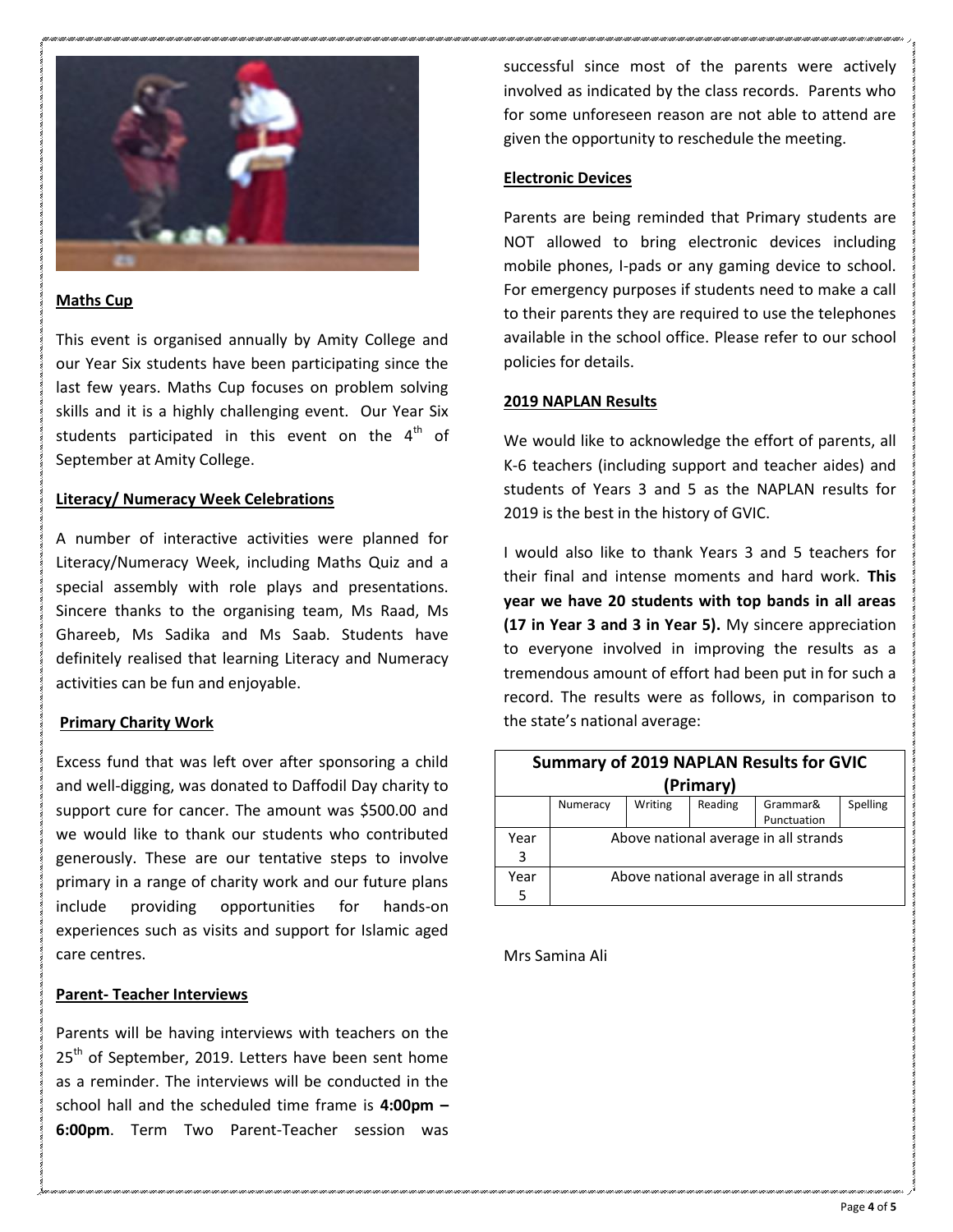

#### **Maths Cup**

This event is organised annually by Amity College and our Year Six students have been participating since the last few years. Maths Cup focuses on problem solving skills and it is a highly challenging event. Our Year Six students participated in this event on the  $4<sup>th</sup>$  of September at Amity College.

#### **Literacy/ Numeracy Week Celebrations**

A number of interactive activities were planned for Literacy/Numeracy Week, including Maths Quiz and a special assembly with role plays and presentations. Sincere thanks to the organising team, Ms Raad, Ms Ghareeb, Ms Sadika and Ms Saab. Students have definitely realised that learning Literacy and Numeracy activities can be fun and enjoyable.

#### **Primary Charity Work**

Excess fund that was left over after sponsoring a child and well-digging, was donated to Daffodil Day charity to support cure for cancer. The amount was \$500.00 and we would like to thank our students who contributed generously. These are our tentative steps to involve primary in a range of charity work and our future plans include providing opportunities for hands-on experiences such as visits and support for Islamic aged care centres.

#### **Parent- Teacher Interviews**

Parents will be having interviews with teachers on the 25<sup>th</sup> of September, 2019. Letters have been sent home as a reminder. The interviews will be conducted in the school hall and the scheduled time frame is **4:00pm – 6:00pm**. Term Two Parent-Teacher session was successful since most of the parents were actively involved as indicated by the class records. Parents who for some unforeseen reason are not able to attend are given the opportunity to reschedule the meeting.

#### **Electronic Devices**

Parents are being reminded that Primary students are NOT allowed to bring electronic devices including mobile phones, I-pads or any gaming device to school. For emergency purposes if students need to make a call to their parents they are required to use the telephones available in the school office. Please refer to our school policies for details.

#### **2019 NAPLAN Results**

We would like to acknowledge the effort of parents, all K-6 teachers (including support and teacher aides) and students of Years 3 and 5 as the NAPLAN results for 2019 is the best in the history of GVIC.

I would also like to thank Years 3 and 5 teachers for their final and intense moments and hard work. **This year we have 20 students with top bands in all areas (17 in Year 3 and 3 in Year 5).** My sincere appreciation to everyone involved in improving the results as a tremendous amount of effort had been put in for such a record. The results were as follows, in comparison to the state's national average:

| <b>Summary of 2019 NAPLAN Results for GVIC</b> |                                       |         |         |             |          |
|------------------------------------------------|---------------------------------------|---------|---------|-------------|----------|
| (Primary)                                      |                                       |         |         |             |          |
|                                                | Numeracy                              | Writing | Reading | Grammar&    | Spelling |
|                                                |                                       |         |         | Punctuation |          |
| Year                                           | Above national average in all strands |         |         |             |          |
| 3                                              |                                       |         |         |             |          |
| Year                                           | Above national average in all strands |         |         |             |          |
| 5                                              |                                       |         |         |             |          |

Mrs Samina Ali